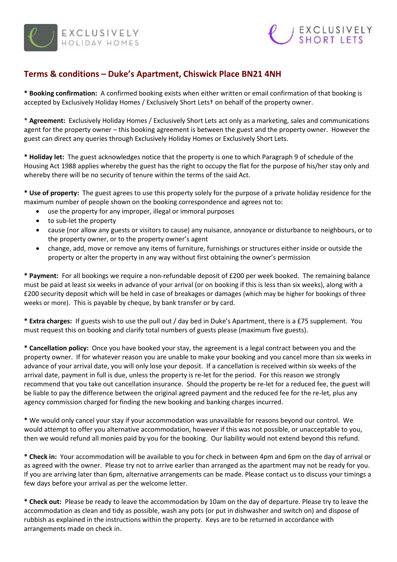



## **Terms & conditions – Duke's Apartment, Chiswick Place BN21 4NH**

**\* Booking confirmation:** A confirmed booking exists when either written or email confirmation of that booking is accepted by Exclusively Holiday Homes / Exclusively Short Lets† on behalf of the property owner.

\* **Agreement:** Exclusively Holiday Homes / Exclusively Short Lets act only as a marketing, sales and communications agent for the property owner – this booking agreement is between the guest and the property owner. However the guest can direct any queries through Exclusively Holiday Homes or Exclusively Short Lets.

**\* Holiday let:** The guest acknowledges notice that the property is one to which Paragraph 9 of schedule of the Housing Act 1988 applies whereby the guest has the right to occupy the flat for the purpose of his/her stay only and whereby there will be no security of tenure within the terms of the said Act.

**\* Use of property:** The guest agrees to use this property solely for the purpose of a private holiday residence for the maximum number of people shown on the booking correspondence and agrees not to:

- use the property for any improper, illegal or immoral purposes
- to sub-let the property
- cause (nor allow any guests or visitors to cause) any nuisance, annoyance or disturbance to neighbours, or to the property owner, or to the property owner's agent
- change, add, move or remove any items of furniture, furnishings or structures either inside or outside the property or alter the property in any way without first obtaining the owner's permission

**\* Payment:** For all bookings we require a non-refundable deposit of £200 per week booked. The remaining balance must be paid at least six weeks in advance of your arrival (or on booking if this is less than six weeks), along with a £200 security deposit which will be held in case of breakages or damages (which may be higher for bookings of three weeks or more). This is payable by cheque, by bank transfer or by card.

**\* Extra charges:** If guests wish to use the pull out / day bed in Duke's Apartment, there is a £75 supplement. You must request this on booking and clarify total numbers of guests please (maximum five guests).

**\* Cancellation policy:** Once you have booked your stay, the agreement is a legal contract between you and the property owner. If for whatever reason you are unable to make your booking and you cancel more than six weeks in advance of your arrival date, you will only lose your deposit. If a cancellation is received within six weeks of the arrival date, payment in full is due, unless the property is re-let for the period. For this reason we strongly recommend that you take out cancellation insurance. Should the property be re-let for a reduced fee, the guest will be liable to pay the difference between the original agreed payment and the reduced fee for the re-let, plus any agency commission charged for finding the new booking and banking charges incurred.

**\*** We would only cancel your stay if your accommodation was unavailable for reasons beyond our control. We would attempt to offer you alternative accommodation, however if this was not possible, or unacceptable to you, then we would refund all monies paid by you for the booking. Our liability would not extend beyond this refund.

**\* Check in:** Your accommodation will be available to you for check in between 4pm and 6pm on the day of arrival or as agreed with the owner. Please try not to arrive earlier than arranged as the apartment may not be ready for you. If you are arriving later than 6pm, alternative arrangements can be made. Please contact us to discuss your timings a few days before your arrival as per the welcome letter.

**\* Check out:** Please be ready to leave the accommodation by 10am on the day of departure. Please try to leave the accommodation as clean and tidy as possible, wash any pots (or put in dishwasher and switch on) and dispose of rubbish as explained in the instructions within the property. Keys are to be returned in accordance with arrangements made on check in.